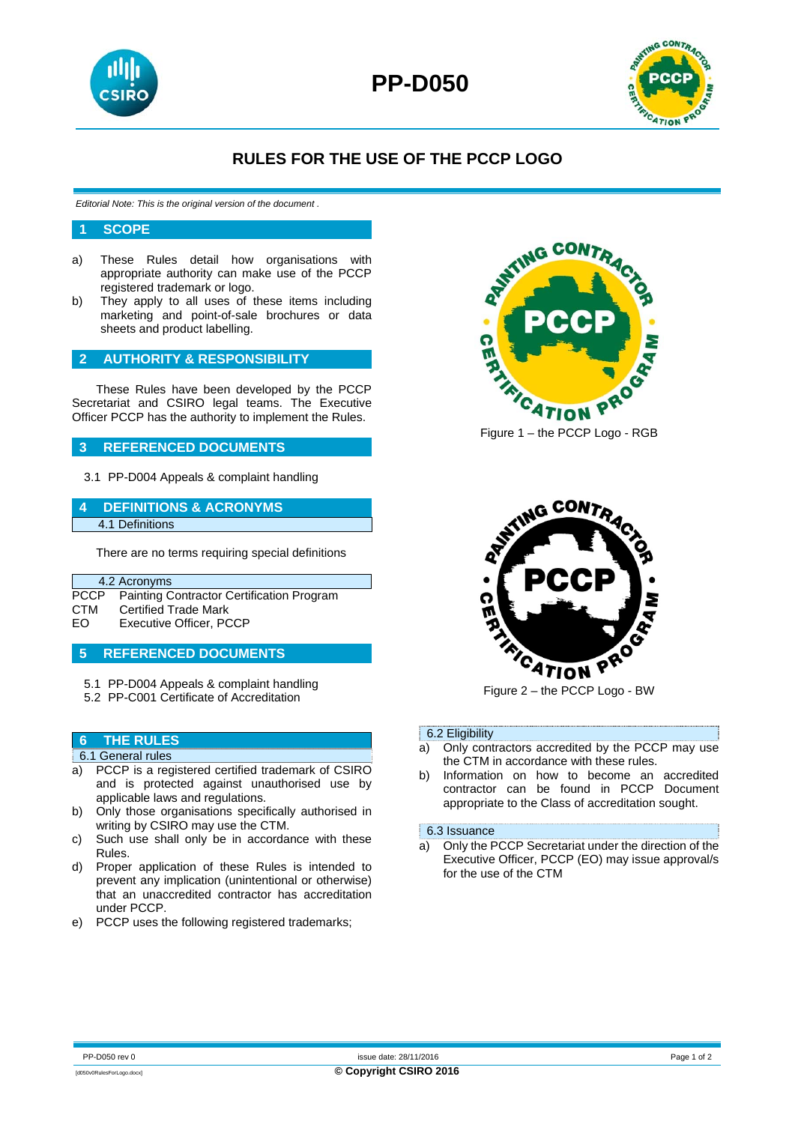



## **RULES FOR THE USE OF THE PCCP LOGO**

*Editorial Note: This is the original version of the document .* 

#### **1 SCOPE**

- a) These Rules detail how organisations with appropriate authority can make use of the PCCP registered trademark or logo.
- b) They apply to all uses of these items including marketing and point-of-sale brochures or data sheets and product labelling.

## **2 AUTHORITY & RESPONSIBILITY**

These Rules have been developed by the PCCP Secretariat and CSIRO legal teams. The Executive Officer PCCP has the authority to implement the Rules.

## **3 REFERENCED DOCUMENTS**

3.1 PP-D004 Appeals & complaint handling

#### **4 DEFINITIONS & ACRONYMS**  4.1 Definitions

There are no terms requiring special definitions

## 4.2 Acronyms

|     | PCCP Painting Contractor Certification Program |
|-----|------------------------------------------------|
| СТМ | <b>Certified Trade Mark</b>                    |
| EO  | Executive Officer, PCCP                        |

### **5 REFERENCED DOCUMENTS**

- 5.1 PP-D004 Appeals & complaint handling
- 5.2 PP-C001 Certificate of Accreditation

## **6 THE RULES**

#### 6.1 General rules

- a) PCCP is a registered certified trademark of CSIRO and is protected against unauthorised use by applicable laws and regulations.
- b) Only those organisations specifically authorised in writing by CSIRO may use the CTM.
- c) Such use shall only be in accordance with these Rules.
- d) Proper application of these Rules is intended to prevent any implication (unintentional or otherwise) that an unaccredited contractor has accreditation under PCCP.
- e) PCCP uses the following registered trademarks;



Figure 1 – the PCCP Logo - RGB



Figure 2 – the PCCP Logo - BW

#### 6.2 Eligibility

- a) Only contractors accredited by the PCCP may use the CTM in accordance with these rules.
- b) Information on how to become an accredited contractor can be found in PCCP Document appropriate to the Class of accreditation sought.

#### 6.3 Issuance

a) Only the PCCP Secretariat under the direction of the Executive Officer, PCCP (EO) may issue approval/s for the use of the CTM